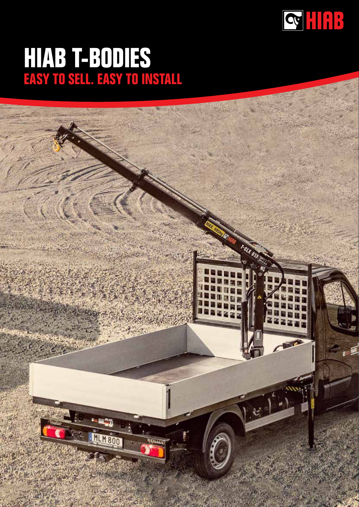

### **HIAB T-BODIES EASY TO SELL. EASY TO INSTALL**

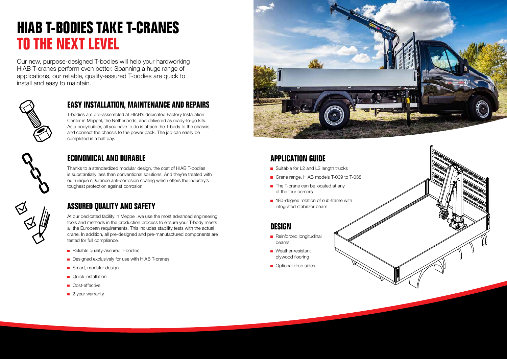# **HIAB T-BODIES TAKE T-CRANES TO THE NEXT LEVEL**

Our new, purpose-designed T-bodies will help your hardworking HIAB T-cranes perform even better. Spanning a huge range of applications, our reliable, quality-assured T-bodies are quick to install and easy to maintain.



T-bodies are pre-assembled at HIAB's dedicated Factory Installation Center in Meppel, the Netherlands, and delivered as ready-to-go kits. As a bodybuilder, all you have to do is attach the T-body to the chassis and connect the chassis to the power pack. The job can easily be completed in a half day.



#### **EASY INSTALLATION, MAINTENANCE AND REPAIRS**

- Suitable for L2 and L3 length trucks
- Crane range, HIAB models T-009 to T-038
- $\blacksquare$  The T-crane can be located at any of the four corners
- 180-degree rotation of sub-frame with integrated stabilizer beam

Thanks to a standardized modular design, the cost of HIAB T-bodies is substantially less than conventional solutions. And they're treated with our unique nDurance anti-corrosion coating which offers the industry's toughest protection against corrosion.



### **ECONOMICAL AND DURABLE**

At our dedicated facility in Meppel, we use the most advanced engineering tools and methods in the production process to ensure your T-body meets all the European requirements. This includes stability tests with the actual crane. In addition, all pre-designed and pre-manufactured components are tested for full compliance.

- Reliable quality-assured T-bodies
- Designed exclusively for use with HIAB T-cranes
- Smart, modular design
- **Quick installation**
- Cost-effective
- 2-year warranty



#### **ASSURED QUALITY AND SAFETY**

#### **DESIGN**

- Reinforced longitudinal beams
- **Neather-resistant** plywood flooring
- **Optional drop sides**



#### **APPLICATION GUIDE**